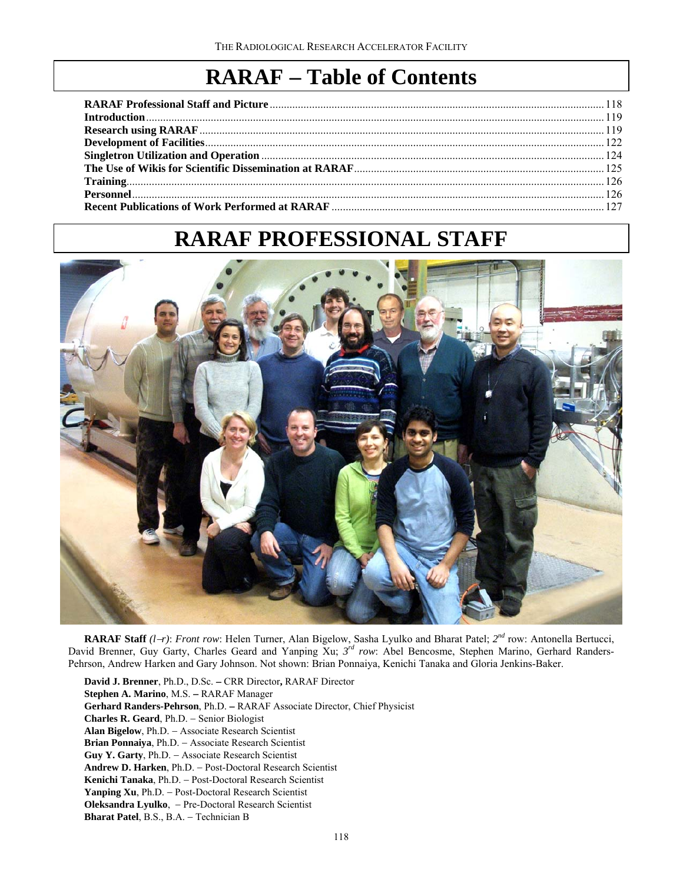# **RARAF Table of Contents**

| <b>Personnel</b> [126] [126] [126] [126] [126] [126] [126] [126] [126] [126] [126] [126] [126] [126] [126] [126] [126] [126] [126] [126] [126] [126] [126] [126] [126] [126] [126] [126] [126] [126] [126] [126] [126] [126] [126] |  |
|------------------------------------------------------------------------------------------------------------------------------------------------------------------------------------------------------------------------------------|--|
|                                                                                                                                                                                                                                    |  |

# **RARAF PROFESSIONAL STAFF**



**RARAF Staff** *(lr)*: *Front row*: Helen Turner, Alan Bigelow, Sasha Lyulko and Bharat Patel; *2nd* row: Antonella Bertucci, David Brenner, Guy Garty, Charles Geard and Yanping Xu; *3rd row*: Abel Bencosme, Stephen Marino, Gerhard Randers-Pehrson, Andrew Harken and Gary Johnson. Not shown: Brian Ponnaiya, Kenichi Tanaka and Gloria Jenkins-Baker.

**David J. Brenner**, Ph.D., D.Sc. CRR Director**,** RARAF Director Stephen A. Marino, M.S. - RARAF Manager Gerhard Randers-Pehrson, Ph.D. - RARAF Associate Director, Chief Physicist **Charles R. Geard**, Ph.D. - Senior Biologist Alan Bigelow, Ph.D. - Associate Research Scientist **Brian Ponnaiya**, Ph.D. Associate Research Scientist Guy Y. Garty, Ph.D. - Associate Research Scientist Andrew D. Harken, Ph.D. - Post-Doctoral Research Scientist **Kenichi Tanaka**, Ph.D. Post-Doctoral Research Scientist Yanping Xu, Ph.D. - Post-Doctoral Research Scientist Oleksandra Lyulko, - Pre-Doctoral Research Scientist **Bharat Patel**, B.S., B.A. - Technician B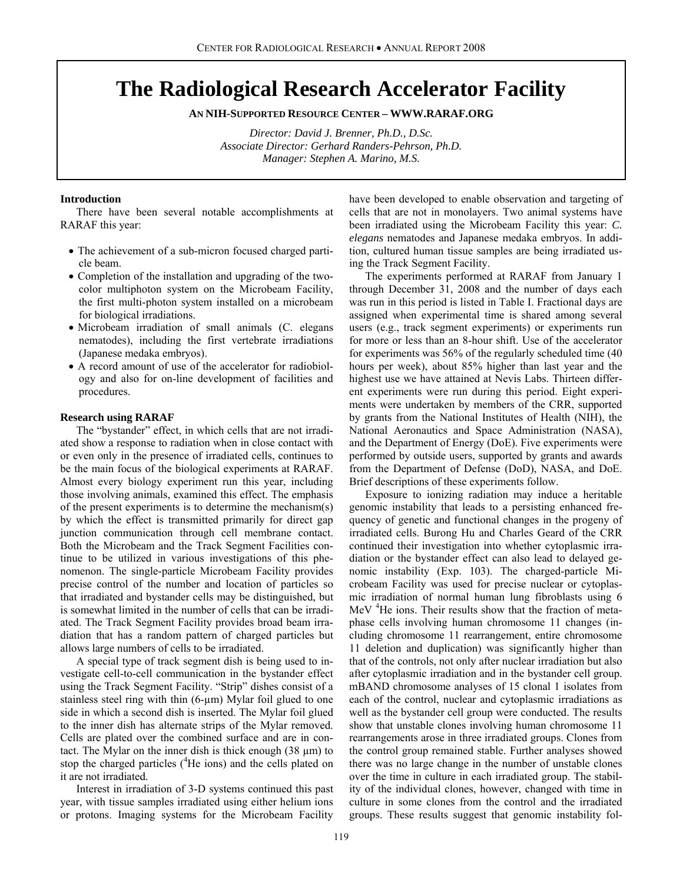# **The Radiological Research Accelerator Facility**

**AN NIH-SUPPORTED RESOURCE CENTER – WWW.RARAF.ORG** 

*Director: David J. Brenner, Ph.D., D.Sc. Associate Director: Gerhard Randers-Pehrson, Ph.D. Manager: Stephen A. Marino, M.S.* 

# **Introduction**

There have been several notable accomplishments at RARAF this year:

- The achievement of a sub-micron focused charged particle beam.
- Completion of the installation and upgrading of the twocolor multiphoton system on the Microbeam Facility, the first multi-photon system installed on a microbeam for biological irradiations.
- Microbeam irradiation of small animals (C. elegans nematodes), including the first vertebrate irradiations (Japanese medaka embryos).
- A record amount of use of the accelerator for radiobiology and also for on-line development of facilities and procedures.

# **Research using RARAF**

The "bystander" effect, in which cells that are not irradiated show a response to radiation when in close contact with or even only in the presence of irradiated cells, continues to be the main focus of the biological experiments at RARAF. Almost every biology experiment run this year, including those involving animals, examined this effect. The emphasis of the present experiments is to determine the mechanism(s) by which the effect is transmitted primarily for direct gap junction communication through cell membrane contact. Both the Microbeam and the Track Segment Facilities continue to be utilized in various investigations of this phenomenon. The single-particle Microbeam Facility provides precise control of the number and location of particles so that irradiated and bystander cells may be distinguished, but is somewhat limited in the number of cells that can be irradiated. The Track Segment Facility provides broad beam irradiation that has a random pattern of charged particles but allows large numbers of cells to be irradiated.

A special type of track segment dish is being used to investigate cell-to-cell communication in the bystander effect using the Track Segment Facility. "Strip" dishes consist of a stainless steel ring with thin (6-µm) Mylar foil glued to one side in which a second dish is inserted. The Mylar foil glued to the inner dish has alternate strips of the Mylar removed. Cells are plated over the combined surface and are in contact. The Mylar on the inner dish is thick enough  $(38 \mu m)$  to stop the charged particles (<sup>4</sup>He ions) and the cells plated on it are not irradiated.

Interest in irradiation of 3-D systems continued this past year, with tissue samples irradiated using either helium ions or protons. Imaging systems for the Microbeam Facility

have been developed to enable observation and targeting of cells that are not in monolayers. Two animal systems have been irradiated using the Microbeam Facility this year: *C. elegans* nematodes and Japanese medaka embryos. In addition, cultured human tissue samples are being irradiated using the Track Segment Facility.

The experiments performed at RARAF from January 1 through December 31, 2008 and the number of days each was run in this period is listed in Table I. Fractional days are assigned when experimental time is shared among several users (e.g., track segment experiments) or experiments run for more or less than an 8-hour shift. Use of the accelerator for experiments was 56% of the regularly scheduled time (40 hours per week), about 85% higher than last year and the highest use we have attained at Nevis Labs. Thirteen different experiments were run during this period. Eight experiments were undertaken by members of the CRR, supported by grants from the National Institutes of Health (NIH), the National Aeronautics and Space Administration (NASA), and the Department of Energy (DoE). Five experiments were performed by outside users, supported by grants and awards from the Department of Defense (DoD), NASA, and DoE. Brief descriptions of these experiments follow.

Exposure to ionizing radiation may induce a heritable genomic instability that leads to a persisting enhanced frequency of genetic and functional changes in the progeny of irradiated cells. Burong Hu and Charles Geard of the CRR continued their investigation into whether cytoplasmic irradiation or the bystander effect can also lead to delayed genomic instability (Exp. 103). The charged-particle Microbeam Facility was used for precise nuclear or cytoplasmic irradiation of normal human lung fibroblasts using 6 MeV <sup>4</sup>He ions. Their results show that the fraction of metaphase cells involving human chromosome 11 changes (including chromosome 11 rearrangement, entire chromosome 11 deletion and duplication) was significantly higher than that of the controls, not only after nuclear irradiation but also after cytoplasmic irradiation and in the bystander cell group. mBAND chromosome analyses of 15 clonal 1 isolates from each of the control, nuclear and cytoplasmic irradiations as well as the bystander cell group were conducted. The results show that unstable clones involving human chromosome 11 rearrangements arose in three irradiated groups. Clones from the control group remained stable. Further analyses showed there was no large change in the number of unstable clones over the time in culture in each irradiated group. The stability of the individual clones, however, changed with time in culture in some clones from the control and the irradiated groups. These results suggest that genomic instability fol-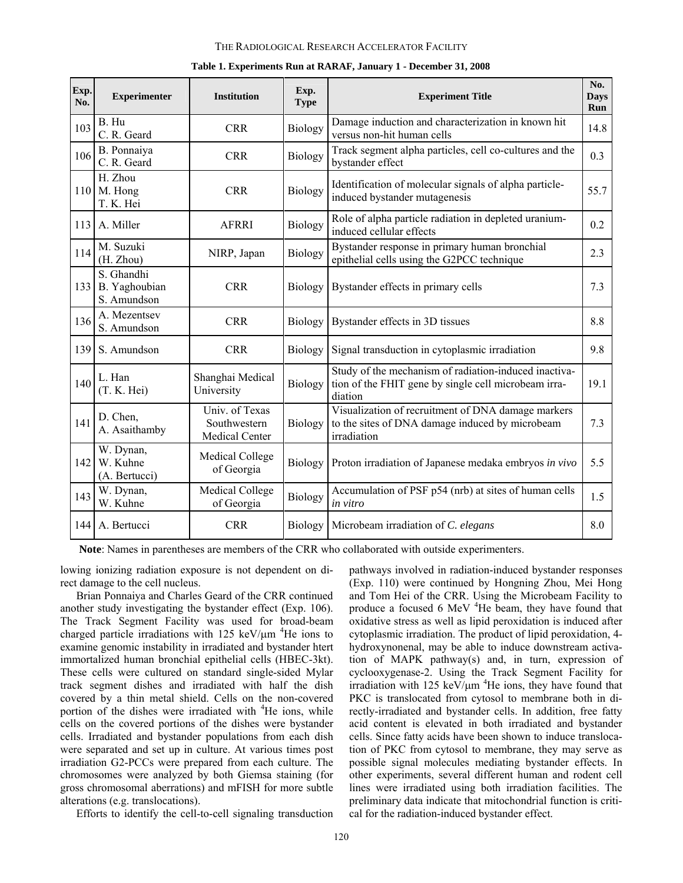## THE RADIOLOGICAL RESEARCH ACCELERATOR FACILITY

| Exp.<br>No. | <b>Experimenter</b>                        | <b>Institution</b>                               | Exp.<br><b>Type</b> | <b>Experiment Title</b>                                                                                                  | No.<br><b>Days</b><br>Run |
|-------------|--------------------------------------------|--------------------------------------------------|---------------------|--------------------------------------------------------------------------------------------------------------------------|---------------------------|
| 103         | B. Hu<br>C. R. Geard                       | <b>CRR</b>                                       | Biology             | Damage induction and characterization in known hit<br>versus non-hit human cells                                         | 14.8                      |
| 106         | B. Ponnaiya<br>C. R. Geard                 | <b>CRR</b>                                       | Biology             | Track segment alpha particles, cell co-cultures and the<br>bystander effect                                              | 0.3                       |
|             | H. Zhou<br>110 M. Hong<br>T. K. Hei        | <b>CRR</b>                                       | Biology             | Identification of molecular signals of alpha particle-<br>induced bystander mutagenesis                                  | 55.7                      |
|             | 113 A. Miller                              | <b>AFRRI</b>                                     | Biology             | Role of alpha particle radiation in depleted uranium-<br>induced cellular effects                                        | 0.2                       |
| 114         | M. Suzuki<br>(H. Zhou)                     | NIRP, Japan                                      | <b>Biology</b>      | Bystander response in primary human bronchial<br>epithelial cells using the G2PCC technique                              | 2.3                       |
| 133         | S. Ghandhi<br>B. Yaghoubian<br>S. Amundson | <b>CRR</b>                                       | Biology             | Bystander effects in primary cells                                                                                       | 7.3                       |
| 136         | A. Mezentsev<br>S. Amundson                | <b>CRR</b>                                       | <b>Biology</b>      | Bystander effects in 3D tissues                                                                                          | 8.8                       |
| 139         | S. Amundson                                | <b>CRR</b>                                       | Biology             | Signal transduction in cytoplasmic irradiation                                                                           | 9.8                       |
| 140         | L. Han<br>(T. K. Hei)                      | Shanghai Medical<br>University                   | Biology             | Study of the mechanism of radiation-induced inactiva-<br>tion of the FHIT gene by single cell microbeam irra-<br>diation | 19.1                      |
| 141         | D. Chen,<br>A. Asaithamby                  | Univ. of Texas<br>Southwestern<br>Medical Center | <b>Biology</b>      | Visualization of recruitment of DNA damage markers<br>to the sites of DNA damage induced by microbeam<br>irradiation     | 7.3                       |
| 142         | W. Dynan,<br>W. Kuhne<br>(A. Bertucci)     | Medical College<br>of Georgia                    | Biology             | Proton irradiation of Japanese medaka embryos in vivo                                                                    | 5.5                       |
| 143         | W. Dynan,<br>W. Kuhne                      | Medical College<br>of Georgia                    | <b>Biology</b>      | Accumulation of PSF p54 (nrb) at sites of human cells<br>in vitro                                                        | 1.5                       |
|             | 144 A. Bertucci                            | <b>CRR</b>                                       | Biology             | Microbeam irradiation of C. elegans                                                                                      | 8.0                       |

#### **Table 1. Experiments Run at RARAF, January 1 - December 31, 2008**

 **Note**: Names in parentheses are members of the CRR who collaborated with outside experimenters.

lowing ionizing radiation exposure is not dependent on direct damage to the cell nucleus.

Brian Ponnaiya and Charles Geard of the CRR continued another study investigating the bystander effect (Exp. 106). The Track Segment Facility was used for broad-beam charged particle irradiations with  $125 \text{ keV/\mu m}$ <sup>4</sup>He ions to examine genomic instability in irradiated and bystander htert immortalized human bronchial epithelial cells (HBEC-3kt). These cells were cultured on standard single-sided Mylar track segment dishes and irradiated with half the dish covered by a thin metal shield. Cells on the non-covered portion of the dishes were irradiated with <sup>4</sup>He ions, while cells on the covered portions of the dishes were bystander cells. Irradiated and bystander populations from each dish were separated and set up in culture. At various times post irradiation G2-PCCs were prepared from each culture. The chromosomes were analyzed by both Giemsa staining (for gross chromosomal aberrations) and mFISH for more subtle alterations (e.g. translocations).

Efforts to identify the cell-to-cell signaling transduction

pathways involved in radiation-induced bystander responses (Exp. 110) were continued by Hongning Zhou, Mei Hong and Tom Hei of the CRR. Using the Microbeam Facility to produce a focused 6 MeV <sup>4</sup>He beam, they have found that oxidative stress as well as lipid peroxidation is induced after cytoplasmic irradiation. The product of lipid peroxidation, 4 hydroxynonenal, may be able to induce downstream activation of MAPK pathway(s) and, in turn, expression of cyclooxygenase-2. Using the Track Segment Facility for irradiation with 125 keV/ $\mu$ m <sup>4</sup>He ions, they have found that PKC is translocated from cytosol to membrane both in directly-irradiated and bystander cells. In addition, free fatty acid content is elevated in both irradiated and bystander cells. Since fatty acids have been shown to induce translocation of PKC from cytosol to membrane, they may serve as possible signal molecules mediating bystander effects. In other experiments, several different human and rodent cell lines were irradiated using both irradiation facilities. The preliminary data indicate that mitochondrial function is critical for the radiation-induced bystander effect.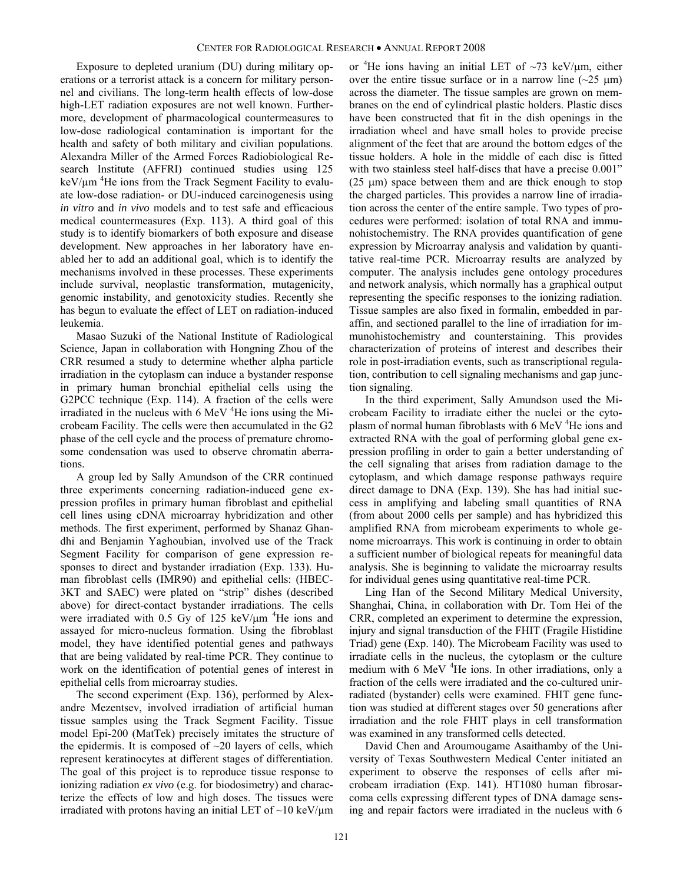Exposure to depleted uranium (DU) during military operations or a terrorist attack is a concern for military personnel and civilians. The long-term health effects of low-dose high-LET radiation exposures are not well known. Furthermore, development of pharmacological countermeasures to low-dose radiological contamination is important for the health and safety of both military and civilian populations. Alexandra Miller of the Armed Forces Radiobiological Research Institute (AFFRI) continued studies using 125 keV/µm <sup>4</sup>He ions from the Track Segment Facility to evaluate low-dose radiation- or DU-induced carcinogenesis using *in vitro* and *in vivo* models and to test safe and efficacious medical countermeasures (Exp. 113). A third goal of this study is to identify biomarkers of both exposure and disease development. New approaches in her laboratory have enabled her to add an additional goal, which is to identify the mechanisms involved in these processes. These experiments include survival, neoplastic transformation, mutagenicity, genomic instability, and genotoxicity studies. Recently she has begun to evaluate the effect of LET on radiation-induced leukemia.

Masao Suzuki of the National Institute of Radiological Science, Japan in collaboration with Hongning Zhou of the CRR resumed a study to determine whether alpha particle irradiation in the cytoplasm can induce a bystander response in primary human bronchial epithelial cells using the G2PCC technique (Exp. 114). A fraction of the cells were irradiated in the nucleus with  $6$  MeV  $^{4}$ He ions using the Microbeam Facility. The cells were then accumulated in the G2 phase of the cell cycle and the process of premature chromosome condensation was used to observe chromatin aberrations.

A group led by Sally Amundson of the CRR continued three experiments concerning radiation-induced gene expression profiles in primary human fibroblast and epithelial cell lines using cDNA microarray hybridization and other methods. The first experiment, performed by Shanaz Ghandhi and Benjamin Yaghoubian, involved use of the Track Segment Facility for comparison of gene expression responses to direct and bystander irradiation (Exp. 133). Human fibroblast cells (IMR90) and epithelial cells: (HBEC-3KT and SAEC) were plated on "strip" dishes (described above) for direct-contact bystander irradiations. The cells were irradiated with 0.5 Gy of 125 keV/ $\mu$ m <sup>4</sup>He ions and assayed for micro-nucleus formation. Using the fibroblast model, they have identified potential genes and pathways that are being validated by real-time PCR. They continue to work on the identification of potential genes of interest in epithelial cells from microarray studies.

The second experiment (Exp. 136), performed by Alexandre Mezentsev, involved irradiation of artificial human tissue samples using the Track Segment Facility. Tissue model Epi-200 (MatTek) precisely imitates the structure of the epidermis. It is composed of  $\sim$ 20 layers of cells, which represent keratinocytes at different stages of differentiation. The goal of this project is to reproduce tissue response to ionizing radiation *ex vivo* (e.g. for biodosimetry) and characterize the effects of low and high doses. The tissues were irradiated with protons having an initial LET of  $\sim$ 10 keV/ $\mu$ m

or <sup>4</sup>He ions having an initial LET of  $\sim$ 73 keV/ $\mu$ m, either over the entire tissue surface or in a narrow line  $(\sim 25 \mu m)$ across the diameter. The tissue samples are grown on membranes on the end of cylindrical plastic holders. Plastic discs have been constructed that fit in the dish openings in the irradiation wheel and have small holes to provide precise alignment of the feet that are around the bottom edges of the tissue holders. A hole in the middle of each disc is fitted with two stainless steel half-discs that have a precise  $0.001$ "  $(25 \mu m)$  space between them and are thick enough to stop the charged particles. This provides a narrow line of irradiation across the center of the entire sample. Two types of procedures were performed: isolation of total RNA and immunohistochemistry. The RNA provides quantification of gene expression by Microarray analysis and validation by quantitative real-time PCR. Microarray results are analyzed by computer. The analysis includes gene ontology procedures and network analysis, which normally has a graphical output representing the specific responses to the ionizing radiation. Tissue samples are also fixed in formalin, embedded in paraffin, and sectioned parallel to the line of irradiation for immunohistochemistry and counterstaining. This provides characterization of proteins of interest and describes their role in post-irradiation events, such as transcriptional regulation, contribution to cell signaling mechanisms and gap junction signaling.

In the third experiment, Sally Amundson used the Microbeam Facility to irradiate either the nuclei or the cytoplasm of normal human fibroblasts with 6 MeV <sup>4</sup>He ions and extracted RNA with the goal of performing global gene expression profiling in order to gain a better understanding of the cell signaling that arises from radiation damage to the cytoplasm, and which damage response pathways require direct damage to DNA (Exp. 139). She has had initial success in amplifying and labeling small quantities of RNA (from about 2000 cells per sample) and has hybridized this amplified RNA from microbeam experiments to whole genome microarrays. This work is continuing in order to obtain a sufficient number of biological repeats for meaningful data analysis. She is beginning to validate the microarray results for individual genes using quantitative real-time PCR.

Ling Han of the Second Military Medical University, Shanghai, China, in collaboration with Dr. Tom Hei of the CRR, completed an experiment to determine the expression, injury and signal transduction of the FHIT (Fragile Histidine Triad) gene (Exp. 140). The Microbeam Facility was used to irradiate cells in the nucleus, the cytoplasm or the culture medium with 6 MeV <sup>4</sup>He ions. In other irradiations, only a fraction of the cells were irradiated and the co-cultured unirradiated (bystander) cells were examined. FHIT gene function was studied at different stages over 50 generations after irradiation and the role FHIT plays in cell transformation was examined in any transformed cells detected.

David Chen and Aroumougame Asaithamby of the University of Texas Southwestern Medical Center initiated an experiment to observe the responses of cells after microbeam irradiation (Exp. 141). HT1080 human fibrosarcoma cells expressing different types of DNA damage sensing and repair factors were irradiated in the nucleus with 6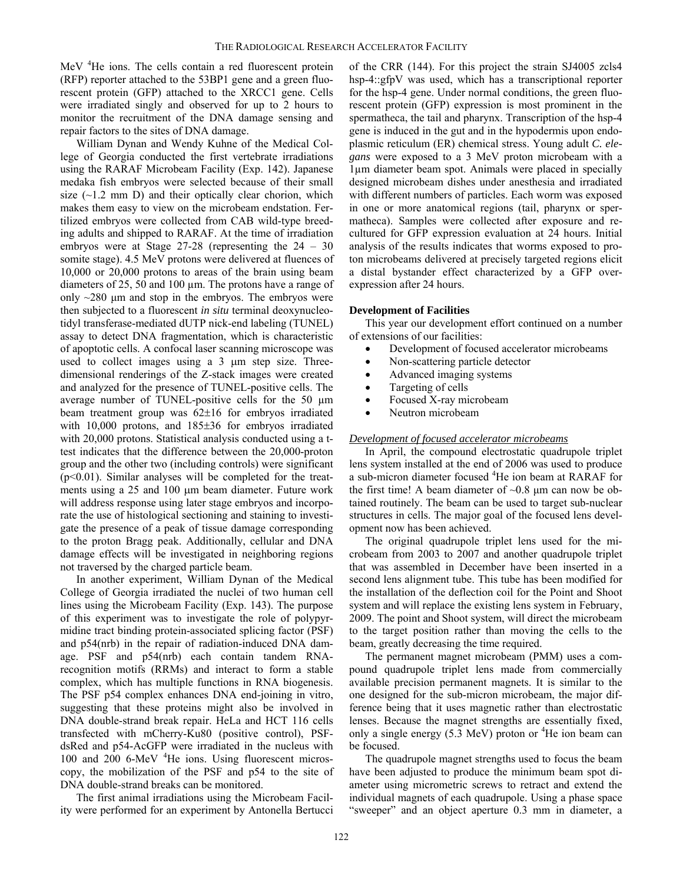MeV <sup>4</sup>He ions. The cells contain a red fluorescent protein (RFP) reporter attached to the 53BP1 gene and a green fluorescent protein (GFP) attached to the XRCC1 gene. Cells were irradiated singly and observed for up to 2 hours to monitor the recruitment of the DNA damage sensing and repair factors to the sites of DNA damage.

William Dynan and Wendy Kuhne of the Medical College of Georgia conducted the first vertebrate irradiations using the RARAF Microbeam Facility (Exp. 142). Japanese medaka fish embryos were selected because of their small size  $(\sim 1.2$  mm D) and their optically clear chorion, which makes them easy to view on the microbeam endstation. Fertilized embryos were collected from CAB wild-type breeding adults and shipped to RARAF. At the time of irradiation embryos were at Stage 27-28 (representing the 24 – 30 somite stage). 4.5 MeV protons were delivered at fluences of 10,000 or 20,000 protons to areas of the brain using beam diameters of 25, 50 and 100 µm. The protons have a range of only  $\sim$ 280  $\mu$ m and stop in the embryos. The embryos were then subjected to a fluorescent *in situ* terminal deoxynucleotidyl transferase-mediated dUTP nick-end labeling (TUNEL) assay to detect DNA fragmentation, which is characteristic of apoptotic cells. A confocal laser scanning microscope was used to collect images using a  $3 \mu m$  step size. Threedimensional renderings of the Z-stack images were created and analyzed for the presence of TUNEL-positive cells. The average number of TUNEL-positive cells for the 50 µm beam treatment group was  $62\pm16$  for embryos irradiated with  $10,000$  protons, and  $185±36$  for embryos irradiated with 20,000 protons. Statistical analysis conducted using a ttest indicates that the difference between the 20,000-proton group and the other two (including controls) were significant (p<0.01). Similar analyses will be completed for the treatments using a  $25$  and  $100 \mu m$  beam diameter. Future work will address response using later stage embryos and incorporate the use of histological sectioning and staining to investigate the presence of a peak of tissue damage corresponding to the proton Bragg peak. Additionally, cellular and DNA damage effects will be investigated in neighboring regions not traversed by the charged particle beam.

In another experiment, William Dynan of the Medical College of Georgia irradiated the nuclei of two human cell lines using the Microbeam Facility (Exp. 143). The purpose of this experiment was to investigate the role of polypyrmidine tract binding protein-associated splicing factor (PSF) and p54(nrb) in the repair of radiation-induced DNA damage. PSF and p54(nrb) each contain tandem RNArecognition motifs (RRMs) and interact to form a stable complex, which has multiple functions in RNA biogenesis. The PSF p54 complex enhances DNA end-joining in vitro, suggesting that these proteins might also be involved in DNA double-strand break repair. HeLa and HCT 116 cells transfected with mCherry-Ku80 (positive control), PSFdsRed and p54-AcGFP were irradiated in the nucleus with 100 and 200 6-MeV <sup>4</sup>He ions. Using fluorescent microscopy, the mobilization of the PSF and p54 to the site of DNA double-strand breaks can be monitored.

The first animal irradiations using the Microbeam Facility were performed for an experiment by Antonella Bertucci of the CRR (144). For this project the strain SJ4005 zcls4 hsp-4::gfpV was used, which has a transcriptional reporter for the hsp-4 gene. Under normal conditions, the green fluorescent protein (GFP) expression is most prominent in the spermatheca, the tail and pharynx. Transcription of the hsp-4 gene is induced in the gut and in the hypodermis upon endoplasmic reticulum (ER) chemical stress. Young adult *C. elegans* were exposed to a 3 MeV proton microbeam with a 1µm diameter beam spot. Animals were placed in specially designed microbeam dishes under anesthesia and irradiated with different numbers of particles. Each worm was exposed in one or more anatomical regions (tail, pharynx or spermatheca). Samples were collected after exposure and recultured for GFP expression evaluation at 24 hours. Initial analysis of the results indicates that worms exposed to proton microbeams delivered at precisely targeted regions elicit a distal bystander effect characterized by a GFP overexpression after 24 hours.

# **Development of Facilities**

This year our development effort continued on a number of extensions of our facilities:

- Development of focused accelerator microbeams
- Non-scattering particle detector
- Advanced imaging systems
- Targeting of cells
- Focused X-ray microbeam
- Neutron microbeam

# *Development of focused accelerator microbeams*

In April, the compound electrostatic quadrupole triplet lens system installed at the end of 2006 was used to produce a sub-micron diameter focused <sup>4</sup>He ion beam at RARAF for the first time! A beam diameter of  $\sim 0.8$  µm can now be obtained routinely. The beam can be used to target sub-nuclear structures in cells. The major goal of the focused lens development now has been achieved.

The original quadrupole triplet lens used for the microbeam from 2003 to 2007 and another quadrupole triplet that was assembled in December have been inserted in a second lens alignment tube. This tube has been modified for the installation of the deflection coil for the Point and Shoot system and will replace the existing lens system in February, 2009. The point and Shoot system, will direct the microbeam to the target position rather than moving the cells to the beam, greatly decreasing the time required.

The permanent magnet microbeam (PMM) uses a compound quadrupole triplet lens made from commercially available precision permanent magnets. It is similar to the one designed for the sub-micron microbeam, the major difference being that it uses magnetic rather than electrostatic lenses. Because the magnet strengths are essentially fixed, only a single energy  $(5.3 \text{ MeV})$  proton or <sup>4</sup>He ion beam can be focused.

The quadrupole magnet strengths used to focus the beam have been adjusted to produce the minimum beam spot diameter using micrometric screws to retract and extend the individual magnets of each quadrupole. Using a phase space "sweeper" and an object aperture 0.3 mm in diameter, a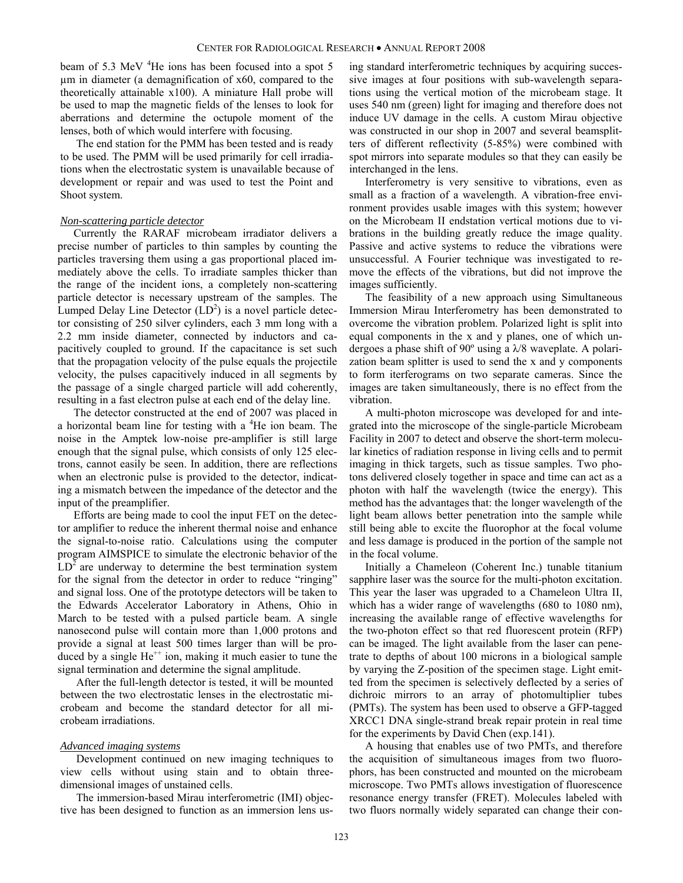beam of 5.3 MeV <sup>4</sup>He ions has been focused into a spot 5 µm in diameter (a demagnification of x60, compared to the theoretically attainable x100). A miniature Hall probe will be used to map the magnetic fields of the lenses to look for aberrations and determine the octupole moment of the lenses, both of which would interfere with focusing.

The end station for the PMM has been tested and is ready to be used. The PMM will be used primarily for cell irradiations when the electrostatic system is unavailable because of development or repair and was used to test the Point and Shoot system.

# *Non-scattering particle detector*

Currently the RARAF microbeam irradiator delivers a precise number of particles to thin samples by counting the particles traversing them using a gas proportional placed immediately above the cells. To irradiate samples thicker than the range of the incident ions, a completely non-scattering particle detector is necessary upstream of the samples. The Lumped Delay Line Detector  $(LD<sup>2</sup>)$  is a novel particle detector consisting of 250 silver cylinders, each 3 mm long with a 2.2 mm inside diameter, connected by inductors and capacitively coupled to ground. If the capacitance is set such that the propagation velocity of the pulse equals the projectile velocity, the pulses capacitively induced in all segments by the passage of a single charged particle will add coherently, resulting in a fast electron pulse at each end of the delay line.

The detector constructed at the end of 2007 was placed in a horizontal beam line for testing with a <sup>4</sup>He ion beam. The noise in the Amptek low-noise pre-amplifier is still large enough that the signal pulse, which consists of only 125 electrons, cannot easily be seen. In addition, there are reflections when an electronic pulse is provided to the detector, indicating a mismatch between the impedance of the detector and the input of the preamplifier.

Efforts are being made to cool the input FET on the detector amplifier to reduce the inherent thermal noise and enhance the signal-to-noise ratio. Calculations using the computer program AIMSPICE to simulate the electronic behavior of the  $LD<sup>2</sup>$  are underway to determine the best termination system for the signal from the detector in order to reduce "ringing" and signal loss. One of the prototype detectors will be taken to the Edwards Accelerator Laboratory in Athens, Ohio in March to be tested with a pulsed particle beam. A single nanosecond pulse will contain more than 1,000 protons and provide a signal at least 500 times larger than will be produced by a single  $He^{++}$  ion, making it much easier to tune the signal termination and determine the signal amplitude.

After the full-length detector is tested, it will be mounted between the two electrostatic lenses in the electrostatic microbeam and become the standard detector for all microbeam irradiations.

#### *Advanced imaging systems*

Development continued on new imaging techniques to view cells without using stain and to obtain threedimensional images of unstained cells.

The immersion-based Mirau interferometric (IMI) objective has been designed to function as an immersion lens using standard interferometric techniques by acquiring successive images at four positions with sub-wavelength separations using the vertical motion of the microbeam stage. It uses 540 nm (green) light for imaging and therefore does not induce UV damage in the cells. A custom Mirau objective was constructed in our shop in 2007 and several beamsplitters of different reflectivity (5-85%) were combined with spot mirrors into separate modules so that they can easily be interchanged in the lens.

Interferometry is very sensitive to vibrations, even as small as a fraction of a wavelength. A vibration-free environment provides usable images with this system; however on the Microbeam II endstation vertical motions due to vibrations in the building greatly reduce the image quality. Passive and active systems to reduce the vibrations were unsuccessful. A Fourier technique was investigated to remove the effects of the vibrations, but did not improve the images sufficiently.

The feasibility of a new approach using Simultaneous Immersion Mirau Interferometry has been demonstrated to overcome the vibration problem. Polarized light is split into equal components in the x and y planes, one of which undergoes a phase shift of 90º using a λ/8 waveplate. A polarization beam splitter is used to send the x and y components to form iterferograms on two separate cameras. Since the images are taken simultaneously, there is no effect from the vibration.

A multi-photon microscope was developed for and integrated into the microscope of the single-particle Microbeam Facility in 2007 to detect and observe the short-term molecular kinetics of radiation response in living cells and to permit imaging in thick targets, such as tissue samples. Two photons delivered closely together in space and time can act as a photon with half the wavelength (twice the energy). This method has the advantages that: the longer wavelength of the light beam allows better penetration into the sample while still being able to excite the fluorophor at the focal volume and less damage is produced in the portion of the sample not in the focal volume.

Initially a Chameleon (Coherent Inc.) tunable titanium sapphire laser was the source for the multi-photon excitation. This year the laser was upgraded to a Chameleon Ultra II, which has a wider range of wavelengths (680 to 1080 nm), increasing the available range of effective wavelengths for the two-photon effect so that red fluorescent protein (RFP) can be imaged. The light available from the laser can penetrate to depths of about 100 microns in a biological sample by varying the Z-position of the specimen stage. Light emitted from the specimen is selectively deflected by a series of dichroic mirrors to an array of photomultiplier tubes (PMTs). The system has been used to observe a GFP-tagged XRCC1 DNA single-strand break repair protein in real time for the experiments by David Chen (exp.141).

A housing that enables use of two PMTs, and therefore the acquisition of simultaneous images from two fluorophors, has been constructed and mounted on the microbeam microscope. Two PMTs allows investigation of fluorescence resonance energy transfer (FRET). Molecules labeled with two fluors normally widely separated can change their con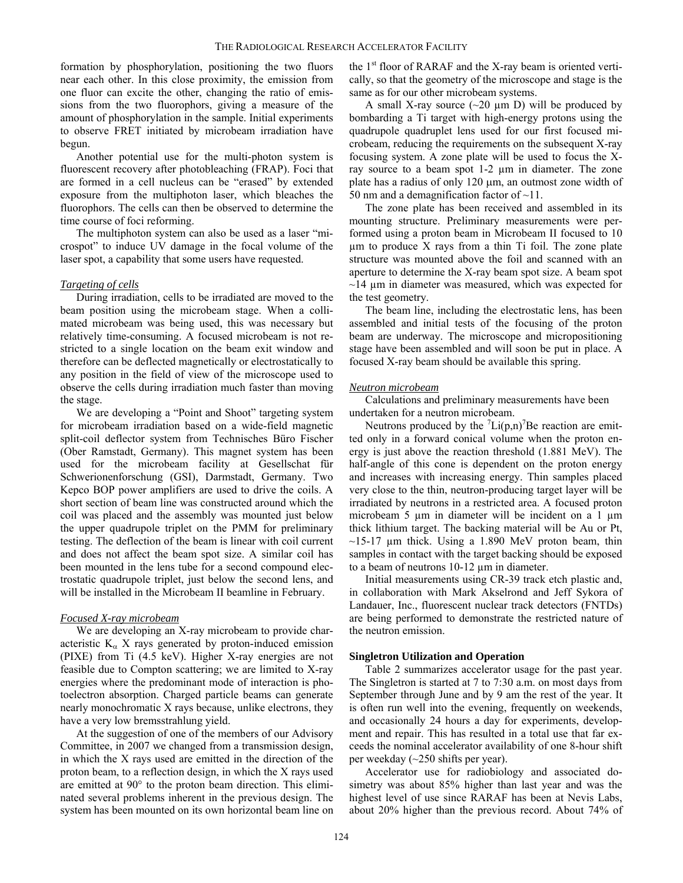formation by phosphorylation, positioning the two fluors near each other. In this close proximity, the emission from one fluor can excite the other, changing the ratio of emissions from the two fluorophors, giving a measure of the amount of phosphorylation in the sample. Initial experiments to observe FRET initiated by microbeam irradiation have begun.

Another potential use for the multi-photon system is fluorescent recovery after photobleaching (FRAP). Foci that are formed in a cell nucleus can be "erased" by extended exposure from the multiphoton laser, which bleaches the fluorophors. The cells can then be observed to determine the time course of foci reforming.

The multiphoton system can also be used as a laser "microspot" to induce UV damage in the focal volume of the laser spot, a capability that some users have requested.

## *Targeting of cells*

During irradiation, cells to be irradiated are moved to the beam position using the microbeam stage. When a collimated microbeam was being used, this was necessary but relatively time-consuming. A focused microbeam is not restricted to a single location on the beam exit window and therefore can be deflected magnetically or electrostatically to any position in the field of view of the microscope used to observe the cells during irradiation much faster than moving the stage.

We are developing a "Point and Shoot" targeting system for microbeam irradiation based on a wide-field magnetic split-coil deflector system from Technisches Büro Fischer (Ober Ramstadt, Germany). This magnet system has been used for the microbeam facility at Gesellschat für Schwerionenforschung (GSI), Darmstadt, Germany. Two Kepco BOP power amplifiers are used to drive the coils. A short section of beam line was constructed around which the coil was placed and the assembly was mounted just below the upper quadrupole triplet on the PMM for preliminary testing. The deflection of the beam is linear with coil current and does not affect the beam spot size. A similar coil has been mounted in the lens tube for a second compound electrostatic quadrupole triplet, just below the second lens, and will be installed in the Microbeam II beamline in February.

# *Focused X-ray microbeam*

We are developing an X-ray microbeam to provide characteristic  $K_{\alpha}$  X rays generated by proton-induced emission (PIXE) from Ti (4.5 keV). Higher X-ray energies are not feasible due to Compton scattering; we are limited to X-ray energies where the predominant mode of interaction is photoelectron absorption. Charged particle beams can generate nearly monochromatic X rays because, unlike electrons, they have a very low bremsstrahlung yield.

At the suggestion of one of the members of our Advisory Committee, in 2007 we changed from a transmission design, in which the X rays used are emitted in the direction of the proton beam, to a reflection design, in which the X rays used are emitted at 90° to the proton beam direction. This eliminated several problems inherent in the previous design. The system has been mounted on its own horizontal beam line on the  $1<sup>st</sup>$  floor of RARAF and the X-ray beam is oriented vertically, so that the geometry of the microscope and stage is the same as for our other microbeam systems.

A small X-ray source  $(\sim 20 \mu m)$  will be produced by bombarding a Ti target with high-energy protons using the quadrupole quadruplet lens used for our first focused microbeam, reducing the requirements on the subsequent X-ray focusing system. A zone plate will be used to focus the Xray source to a beam spot 1-2 µm in diameter. The zone plate has a radius of only  $120 \mu m$ , an outmost zone width of 50 nm and a demagnification factor of  $\sim$ 11.

The zone plate has been received and assembled in its mounting structure. Preliminary measurements were performed using a proton beam in Microbeam II focused to 10 µm to produce X rays from a thin Ti foil. The zone plate structure was mounted above the foil and scanned with an aperture to determine the X-ray beam spot size. A beam spot  $\sim$ 14  $\mu$ m in diameter was measured, which was expected for the test geometry.

The beam line, including the electrostatic lens, has been assembled and initial tests of the focusing of the proton beam are underway. The microscope and micropositioning stage have been assembled and will soon be put in place. A focused X-ray beam should be available this spring.

#### *Neutron microbeam*

Calculations and preliminary measurements have been undertaken for a neutron microbeam.

Neutrons produced by the  ${}^{7}$ Li(p,n)<sup>7</sup>Be reaction are emitted only in a forward conical volume when the proton energy is just above the reaction threshold (1.881 MeV). The half-angle of this cone is dependent on the proton energy and increases with increasing energy. Thin samples placed very close to the thin, neutron-producing target layer will be irradiated by neutrons in a restricted area. A focused proton microbeam 5 µm in diameter will be incident on a 1 µm thick lithium target. The backing material will be Au or Pt,  $\sim$ 15-17 µm thick. Using a 1.890 MeV proton beam, thin samples in contact with the target backing should be exposed to a beam of neutrons 10-12 µm in diameter.

Initial measurements using CR-39 track etch plastic and, in collaboration with Mark Akselrond and Jeff Sykora of Landauer, Inc., fluorescent nuclear track detectors (FNTDs) are being performed to demonstrate the restricted nature of the neutron emission.

# **Singletron Utilization and Operation**

Table 2 summarizes accelerator usage for the past year. The Singletron is started at 7 to 7:30 a.m. on most days from September through June and by 9 am the rest of the year. It is often run well into the evening, frequently on weekends, and occasionally 24 hours a day for experiments, development and repair. This has resulted in a total use that far exceeds the nominal accelerator availability of one 8-hour shift per weekday (~250 shifts per year).

Accelerator use for radiobiology and associated dosimetry was about 85% higher than last year and was the highest level of use since RARAF has been at Nevis Labs, about 20% higher than the previous record. About 74% of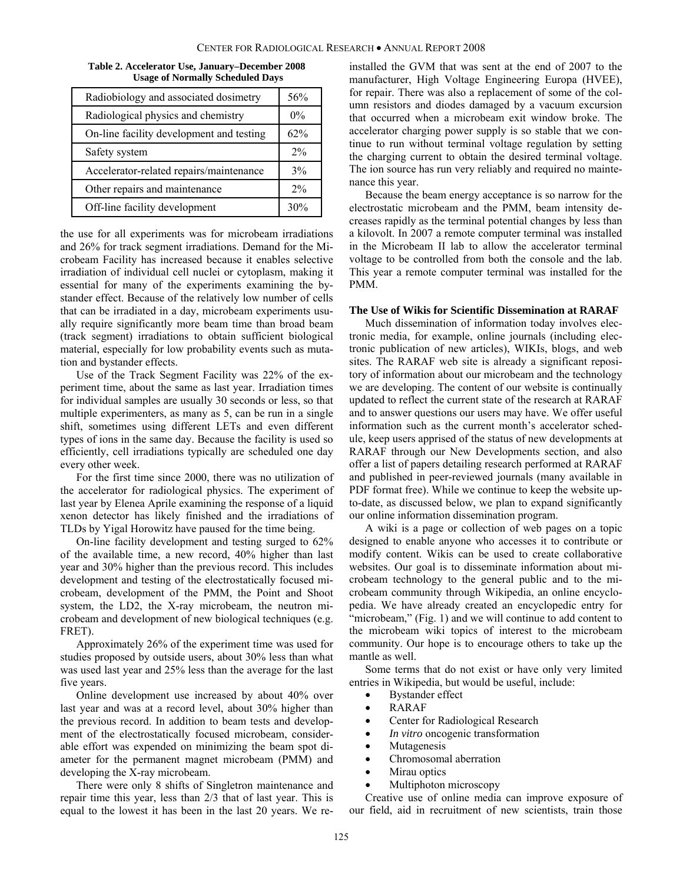| Table 2. Accelerator Use, January–December 2008 |
|-------------------------------------------------|
| <b>Usage of Normally Scheduled Days</b>         |

| Radiobiology and associated dosimetry    | 56%   |
|------------------------------------------|-------|
| Radiological physics and chemistry       | $0\%$ |
| On-line facility development and testing | 62%   |
| Safety system                            | 2%    |
| Accelerator-related repairs/maintenance  | 3%    |
| Other repairs and maintenance            | 2%    |
| Off-line facility development            | 30%   |

the use for all experiments was for microbeam irradiations and 26% for track segment irradiations. Demand for the Microbeam Facility has increased because it enables selective irradiation of individual cell nuclei or cytoplasm, making it essential for many of the experiments examining the bystander effect. Because of the relatively low number of cells that can be irradiated in a day, microbeam experiments usually require significantly more beam time than broad beam (track segment) irradiations to obtain sufficient biological material, especially for low probability events such as mutation and bystander effects.

Use of the Track Segment Facility was 22% of the experiment time, about the same as last year. Irradiation times for individual samples are usually 30 seconds or less, so that multiple experimenters, as many as 5, can be run in a single shift, sometimes using different LETs and even different types of ions in the same day. Because the facility is used so efficiently, cell irradiations typically are scheduled one day every other week.

For the first time since 2000, there was no utilization of the accelerator for radiological physics. The experiment of last year by Elenea Aprile examining the response of a liquid xenon detector has likely finished and the irradiations of TLDs by Yigal Horowitz have paused for the time being.

On-line facility development and testing surged to 62% of the available time, a new record, 40% higher than last year and 30% higher than the previous record. This includes development and testing of the electrostatically focused microbeam, development of the PMM, the Point and Shoot system, the LD2, the X-ray microbeam, the neutron microbeam and development of new biological techniques (e.g. FRET).

Approximately 26% of the experiment time was used for studies proposed by outside users, about 30% less than what was used last year and 25% less than the average for the last five years.

Online development use increased by about 40% over last year and was at a record level, about 30% higher than the previous record. In addition to beam tests and development of the electrostatically focused microbeam, considerable effort was expended on minimizing the beam spot diameter for the permanent magnet microbeam (PMM) and developing the X-ray microbeam.

There were only 8 shifts of Singletron maintenance and repair time this year, less than 2/3 that of last year. This is equal to the lowest it has been in the last 20 years. We reinstalled the GVM that was sent at the end of 2007 to the manufacturer, High Voltage Engineering Europa (HVEE), for repair. There was also a replacement of some of the column resistors and diodes damaged by a vacuum excursion that occurred when a microbeam exit window broke. The accelerator charging power supply is so stable that we continue to run without terminal voltage regulation by setting the charging current to obtain the desired terminal voltage. The ion source has run very reliably and required no maintenance this year.

Because the beam energy acceptance is so narrow for the electrostatic microbeam and the PMM, beam intensity decreases rapidly as the terminal potential changes by less than a kilovolt. In 2007 a remote computer terminal was installed in the Microbeam II lab to allow the accelerator terminal voltage to be controlled from both the console and the lab. This year a remote computer terminal was installed for the PMM.

#### **The Use of Wikis for Scientific Dissemination at RARAF**

Much dissemination of information today involves electronic media, for example, online journals (including electronic publication of new articles), WIKIs, blogs, and web sites. The RARAF web site is already a significant repository of information about our microbeam and the technology we are developing. The content of our website is continually updated to reflect the current state of the research at RARAF and to answer questions our users may have. We offer useful information such as the current month's accelerator schedule, keep users apprised of the status of new developments at RARAF through our New Developments section, and also offer a list of papers detailing research performed at RARAF and published in peer-reviewed journals (many available in PDF format free). While we continue to keep the website upto-date, as discussed below, we plan to expand significantly our online information dissemination program.

A wiki is a page or collection of web pages on a topic designed to enable anyone who accesses it to contribute or modify content. Wikis can be used to create collaborative websites. Our goal is to disseminate information about microbeam technology to the general public and to the microbeam community through Wikipedia, an online encyclopedia. We have already created an encyclopedic entry for "microbeam," (Fig. 1) and we will continue to add content to the microbeam wiki topics of interest to the microbeam community. Our hope is to encourage others to take up the mantle as well.

Some terms that do not exist or have only very limited entries in Wikipedia, but would be useful, include:

- Bystander effect
- RARAF
- Center for Radiological Research
- *In vitro* oncogenic transformation
- Mutagenesis
- Chromosomal aberration
- Mirau optics
- Multiphoton microscopy

Creative use of online media can improve exposure of our field, aid in recruitment of new scientists, train those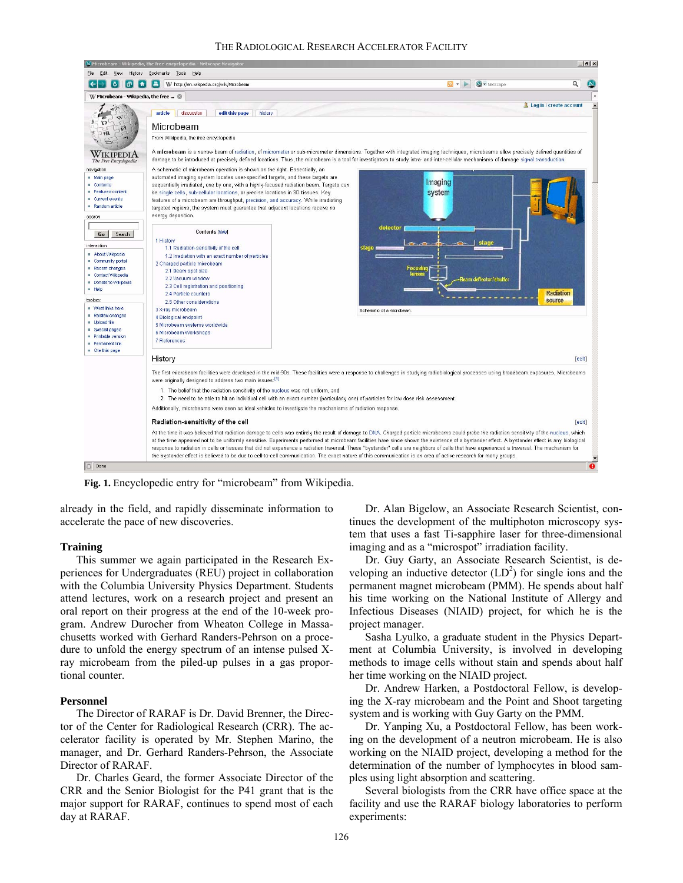

**Fig. 1.** Encyclopedic entry for "microbeam" from Wikipedia.

already in the field, and rapidly disseminate information to accelerate the pace of new discoveries.

# **Training**

This summer we again participated in the Research Experiences for Undergraduates (REU) project in collaboration with the Columbia University Physics Department. Students attend lectures, work on a research project and present an oral report on their progress at the end of the 10-week program. Andrew Durocher from Wheaton College in Massachusetts worked with Gerhard Randers-Pehrson on a procedure to unfold the energy spectrum of an intense pulsed Xray microbeam from the piled-up pulses in a gas proportional counter.

# **Personnel**

The Director of RARAF is Dr. David Brenner, the Director of the Center for Radiological Research (CRR). The accelerator facility is operated by Mr. Stephen Marino, the manager, and Dr. Gerhard Randers-Pehrson, the Associate Director of RARAF.

Dr. Charles Geard, the former Associate Director of the CRR and the Senior Biologist for the P41 grant that is the major support for RARAF, continues to spend most of each day at RARAF.

Dr. Alan Bigelow, an Associate Research Scientist, continues the development of the multiphoton microscopy system that uses a fast Ti-sapphire laser for three-dimensional imaging and as a "microspot" irradiation facility.

Dr. Guy Garty, an Associate Research Scientist, is developing an inductive detector  $(LD<sup>2</sup>)$  for single ions and the permanent magnet microbeam (PMM). He spends about half his time working on the National Institute of Allergy and Infectious Diseases (NIAID) project, for which he is the project manager.

Sasha Lyulko, a graduate student in the Physics Department at Columbia University, is involved in developing methods to image cells without stain and spends about half her time working on the NIAID project.

Dr. Andrew Harken, a Postdoctoral Fellow, is developing the X-ray microbeam and the Point and Shoot targeting system and is working with Guy Garty on the PMM.

Dr. Yanping Xu, a Postdoctoral Fellow, has been working on the development of a neutron microbeam. He is also working on the NIAID project, developing a method for the determination of the number of lymphocytes in blood samples using light absorption and scattering.

Several biologists from the CRR have office space at the facility and use the RARAF biology laboratories to perform experiments: